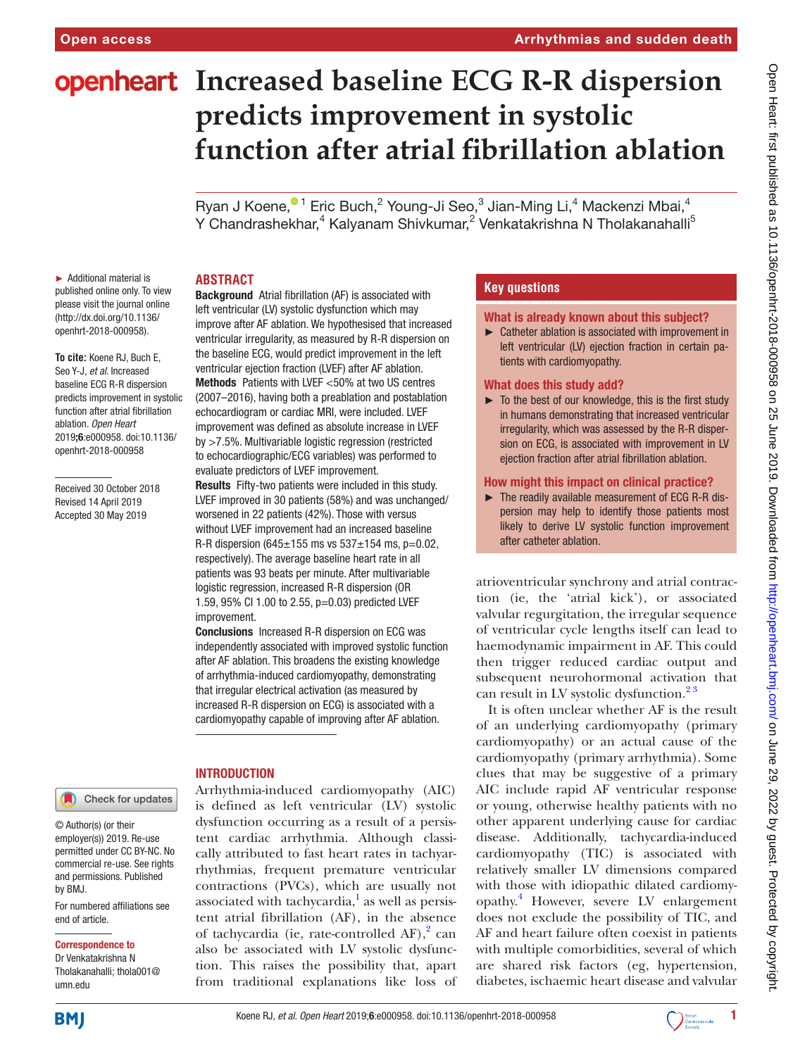# **Openheart** Increased baseline ECG R-R dispersion **predicts improvement in systolic function after atrial fibrillation ablation**

Ryan J Koene[,](http://orcid.org/0000-0002-5425-1433)<sup>® 1</sup> Eric Buch,<sup>2</sup> Young-Ji Seo,<sup>3</sup> Jian-Ming Li,<sup>4</sup> Mackenzi Mbai,<sup>4</sup> Y Chandrashekhar,<sup>4</sup> Kalyanam Shivkumar,<sup>2</sup> Venkatakrishna N Tholakanahalli<sup>5</sup>

### **Abstract** Background Atrial fibrillation (AF) is associated with

► Additional material is published online only. To view please visit the journal online [\(http://dx.doi.org/10.1136/](http://dx.doi.org/10.1136/openhrt-2018-000958) [openhrt-2018-000958](http://dx.doi.org/10.1136/openhrt-2018-000958)).

**To cite:** Koene RJ, Buch E, Seo Y-J*, et al*. Increased baseline ECG R-R dispersion predicts improvement in systolic function after atrial fibrillation ablation*. Open Heart* 2019;6:e000958. doi:10.1136/ openhrt-2018-000958

Received 30 October 2018 Revised 14 April 2019 Accepted 30 May 2019

improve after AF ablation. We hypothesised that increased ventricular irregularity, as measured by R-R dispersion on the baseline ECG, would predict improvement in the left ventricular ejection fraction (LVEF) after AF ablation. Methods Patients with LVEF <50% at two US centres (2007–2016), having both a preablation and postablation echocardiogram or cardiac MRI, were included. LVEF improvement was defined as absolute increase in LVEF by >7.5%. Multivariable logistic regression (restricted to echocardiographic/ECG variables) was performed to evaluate predictors of LVEF improvement. Results Fifty-two patients were included in this study.

left ventricular (LV) systolic dysfunction which may

LVEF improved in 30 patients (58%) and was unchanged/ worsened in 22 patients (42%). Those with versus without LVEF improvement had an increased baseline R-R dispersion (645 $\pm$ 155 ms vs 537 $\pm$ 154 ms, p=0.02, respectively). The average baseline heart rate in all patients was 93 beats per minute. After multivariable logistic regression, increased R-R dispersion (OR 1.59, 95% CI 1.00 to 2.55, p=0.03) predicted LVEF improvement.

Conclusions Increased R-R dispersion on ECG was independently associated with improved systolic function after AF ablation. This broadens the existing knowledge of arrhythmia-induced cardiomyopathy, demonstrating that irregular electrical activation (as measured by increased R-R dispersion on ECG) is associated with a cardiomyopathy capable of improving after AF ablation.

# **INTRODUCTION**

Arrhythmia-induced cardiomyopathy (AIC) is defined as left ventricular (LV) systolic dysfunction occurring as a result of a persistent cardiac arrhythmia. Although classically attributed to fast heart rates in tachyarrhythmias, frequent premature ventricular contractions (PVCs), which are usually not associated with tachycardia, $^1$  $^1$  as well as persistent atrial fibrillation (AF), in the absence of tachycardia (ie, rate-controlled AF),<sup>2</sup> can also be associated with LV systolic dysfunction. This raises the possibility that, apart from traditional explanations like loss of

# **Key questions**

### What is already known about this subject?

► Catheter ablation is associated with improvement in left ventricular (LV) ejection fraction in certain patients with cardiomyopathy.

### What does this study add?

► To the best of our knowledge, this is the first study in humans demonstrating that increased ventricular irregularity, which was assessed by the R-R dispersion on ECG, is associated with improvement in LV ejection fraction after atrial fibrillation ablation.

### How might this impact on clinical practice?

► The readily available measurement of ECG R-R dispersion may help to identify those patients most likely to derive LV systolic function improvement after catheter ablation.

atrioventricular synchrony and atrial contraction (ie, the 'atrial kick'), or associated valvular regurgitation, the irregular sequence of ventricular cycle lengths itself can lead to haemodynamic impairment in AF. This could then trigger reduced cardiac output and subsequent neurohormonal activation that can result in LV systolic dysfunction.<sup>23</sup>

It is often unclear whether AF is the result of an underlying cardiomyopathy (primary cardiomyopathy) or an actual cause of the cardiomyopathy (primary arrhythmia). Some clues that may be suggestive of a primary AIC include rapid AF ventricular response or young, otherwise healthy patients with no other apparent underlying cause for cardiac disease. Additionally, tachycardia-induced cardiomyopathy (TIC) is associated with relatively smaller LV dimensions compared with those with idiopathic dilated cardiomyopathy[.4](#page-6-0) However, severe LV enlargement does not exclude the possibility of TIC, and AF and heart failure often coexist in patients with multiple comorbidities, several of which are shared risk factors (eg, hypertension, diabetes, ischaemic heart disease and valvular

**BMJ** 

umn.edu

end of article.

by BMJ.

Correspondence to Dr Venkatakrishna N Tholakanahalli; thola001@

© Author(s) (or their employer(s)) 2019. Re-use permitted under CC BY-NC. No commercial re-use. See rights and permissions. Published

For numbered affiliations see

Check for updates

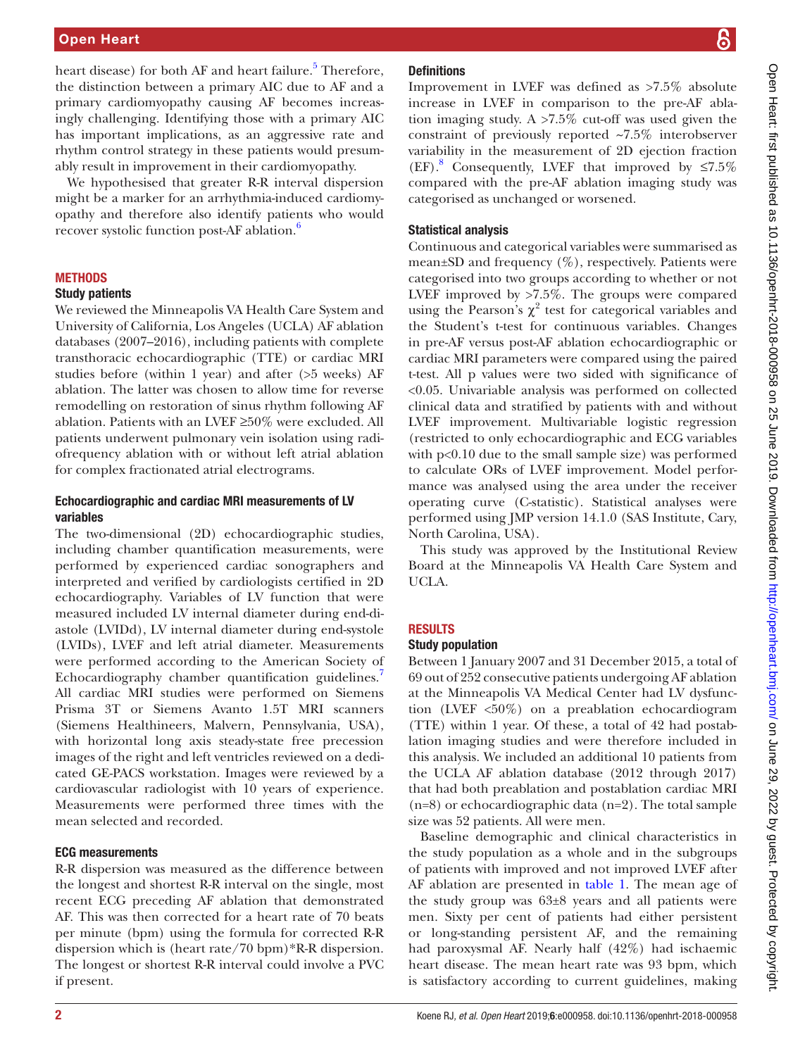### Open Heart

heart disease) for both AF and heart failure.<sup>[5](#page-6-1)</sup> Therefore, the distinction between a primary AIC due to AF and a primary cardiomyopathy causing AF becomes increasingly challenging. Identifying those with a primary AIC has important implications, as an aggressive rate and rhythm control strategy in these patients would presumably result in improvement in their cardiomyopathy.

We hypothesised that greater R-R interval dispersion might be a marker for an arrhythmia-induced cardiomyopathy and therefore also identify patients who would recover systolic function post-AF ablation.<sup>[6](#page-6-2)</sup>

### **METHODS**

### Study patients

We reviewed the Minneapolis VA Health Care System and University of California, Los Angeles (UCLA) AF ablation databases (2007–2016), including patients with complete transthoracic echocardiographic (TTE) or cardiac MRI studies before (within 1 year) and after (>5 weeks) AF ablation. The latter was chosen to allow time for reverse remodelling on restoration of sinus rhythm following AF ablation. Patients with an LVEF ≥50% were excluded. All patients underwent pulmonary vein isolation using radiofrequency ablation with or without left atrial ablation for complex fractionated atrial electrograms.

### Echocardiographic and cardiac MRI measurements of LV variables

The two-dimensional (2D) echocardiographic studies, including chamber quantification measurements, were performed by experienced cardiac sonographers and interpreted and verified by cardiologists certified in 2D echocardiography. Variables of LV function that were measured included LV internal diameter during end-diastole (LVIDd), LV internal diameter during end-systole (LVIDs), LVEF and left atrial diameter. Measurements were performed according to the American Society of Echocardiography chamber quantification guidelines. All cardiac MRI studies were performed on Siemens Prisma 3T or Siemens Avanto 1.5T MRI scanners (Siemens Healthineers, Malvern, Pennsylvania, USA), with horizontal long axis steady-state free precession images of the right and left ventricles reviewed on a dedicated GE-PACS workstation. Images were reviewed by a cardiovascular radiologist with 10 years of experience. Measurements were performed three times with the mean selected and recorded.

### ECG measurements

R-R dispersion was measured as the difference between the longest and shortest R-R interval on the single, most recent ECG preceding AF ablation that demonstrated AF. This was then corrected for a heart rate of 70 beats per minute (bpm) using the formula for corrected R-R dispersion which is (heart rate/70 bpm)\*R-R dispersion. The longest or shortest R-R interval could involve a PVC if present.

# **Definitions**

Improvement in LVEF was defined as >7.5% absolute increase in LVEF in comparison to the pre-AF ablation imaging study. A >7.5% cut-off was used given the constraint of previously reported ~7.5% interobserver variability in the measurement of 2D ejection fraction  $(EF).$ <sup>[8](#page-6-4)</sup> Consequently, LVEF that improved by  $\leq 7.5\%$ compared with the pre-AF ablation imaging study was categorised as unchanged or worsened.

### Statistical analysis

Continuous and categorical variables were summarised as mean $\pm$ SD and frequency (%), respectively. Patients were categorised into two groups according to whether or not LVEF improved by >7.5%. The groups were compared using the Pearson's  $\chi^2$  test for categorical variables and the Student's t-test for continuous variables. Changes in pre-AF versus post-AF ablation echocardiographic or cardiac MRI parameters were compared using the paired t-test. All p values were two sided with significance of <0.05. Univariable analysis was performed on collected clinical data and stratified by patients with and without LVEF improvement. Multivariable logistic regression (restricted to only echocardiographic and ECG variables with p<0.10 due to the small sample size) was performed to calculate ORs of LVEF improvement. Model performance was analysed using the area under the receiver operating curve (C-statistic). Statistical analyses were performed using JMP version 14.1.0 (SAS Institute, Cary, North Carolina, USA).

This study was approved by the Institutional Review Board at the Minneapolis VA Health Care System and UCLA.

### **RESULTS**

### Study population

Between 1 January 2007 and 31 December 2015, a total of 69 out of 252 consecutive patients undergoing AF ablation at the Minneapolis VA Medical Center had LV dysfunction (LVEF <50%) on a preablation echocardiogram (TTE) within 1 year. Of these, a total of 42 had postablation imaging studies and were therefore included in this analysis. We included an additional 10 patients from the UCLA AF ablation database (2012 through 2017) that had both preablation and postablation cardiac MRI (n=8) or echocardiographic data (n=2). The total sample size was 52 patients. All were men.

Baseline demographic and clinical characteristics in the study population as a whole and in the subgroups of patients with improved and not improved LVEF after AF ablation are presented in [table](#page-2-0) 1. The mean age of the study group was 63±8 years and all patients were men. Sixty per cent of patients had either persistent or long-standing persistent AF, and the remaining had paroxysmal AF. Nearly half (42%) had ischaemic heart disease. The mean heart rate was 93 bpm, which is satisfactory according to current guidelines, making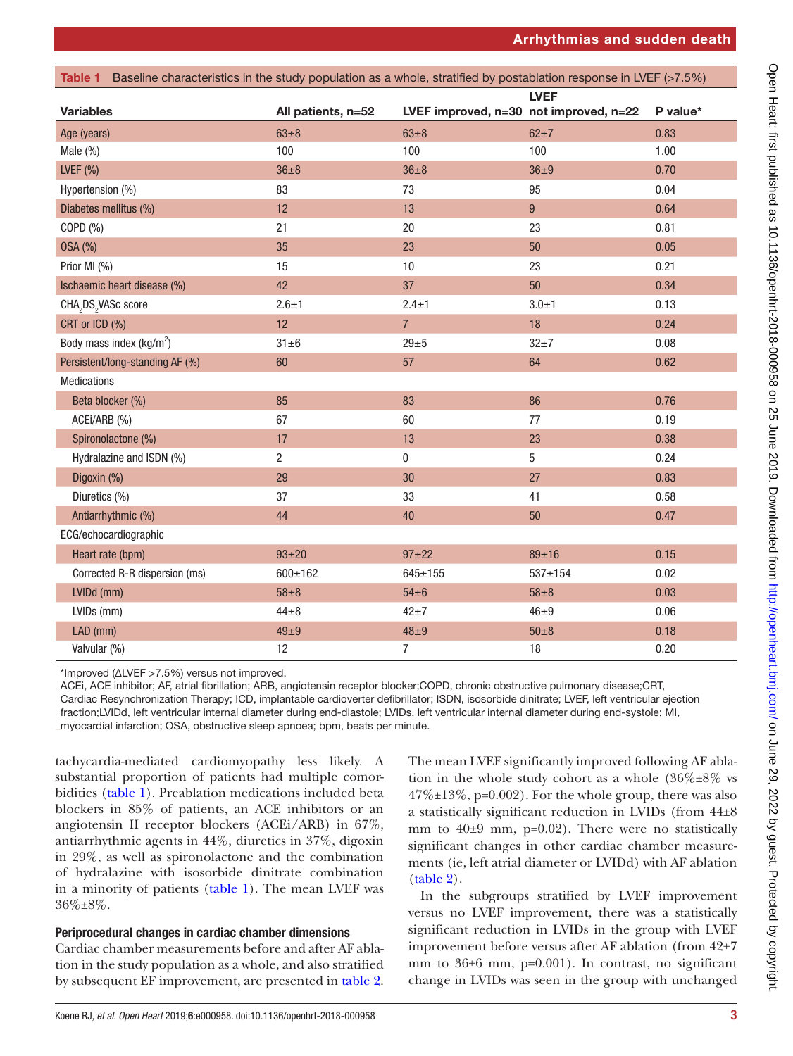<span id="page-2-0"></span>

| Table 1 Baseline characteristics in the study population as a whole, stratified by postablation response in LVEF (>7.5%) |                    |                                        |                |          |
|--------------------------------------------------------------------------------------------------------------------------|--------------------|----------------------------------------|----------------|----------|
|                                                                                                                          | <b>LVEF</b>        |                                        |                |          |
| <b>Variables</b>                                                                                                         | All patients, n=52 | LVEF improved, n=30 not improved, n=22 |                | P value* |
| Age (years)                                                                                                              | $63\pm8$           | $63\pm8$                               | $62\pm7$       | 0.83     |
| Male (%)                                                                                                                 | 100                | 100                                    | 100            | 1.00     |
| LVEF $(%)$                                                                                                               | $36 + 8$           | $36\pm8$                               | $36 + 9$       | 0.70     |
| Hypertension (%)                                                                                                         | 83                 | 73                                     | 95             | 0.04     |
| Diabetes mellitus (%)                                                                                                    | 12                 | 13                                     | $9\,$          | 0.64     |
| COPD (%)                                                                                                                 | 21                 | 20                                     | 23             | 0.81     |
| 0SA (%)                                                                                                                  | 35                 | 23                                     | 50             | 0.05     |
| Prior MI (%)                                                                                                             | 15                 | $10\,$                                 | 23             | 0.21     |
| Ischaemic heart disease (%)                                                                                              | 42                 | 37                                     | 50             | 0.34     |
| CHA <sub>2</sub> DS <sub>2</sub> VASc score                                                                              | $2.6 + 1$          | $2.4 \pm 1$                            | $3.0 + 1$      | 0.13     |
| CRT or ICD (%)                                                                                                           | 12                 | $\overline{7}$                         | 18             | 0.24     |
| Body mass index (kg/m <sup>2</sup> )                                                                                     | $31 \pm 6$         | $29 + 5$                               | $32 + 7$       | 0.08     |
| Persistent/long-standing AF (%)                                                                                          | 60                 | 57                                     | 64             | 0.62     |
| <b>Medications</b>                                                                                                       |                    |                                        |                |          |
| Beta blocker (%)                                                                                                         | 85                 | 83                                     | 86             | 0.76     |
| ACEi/ARB (%)                                                                                                             | 67                 | 60                                     | 77             | 0.19     |
| Spironolactone (%)                                                                                                       | 17                 | 13                                     | 23             | 0.38     |
| Hydralazine and ISDN (%)                                                                                                 | $\overline{2}$     | $\pmb{0}$                              | $\overline{5}$ | 0.24     |
| Digoxin (%)                                                                                                              | 29                 | 30                                     | 27             | 0.83     |
| Diuretics (%)                                                                                                            | 37                 | 33                                     | 41             | 0.58     |
| Antiarrhythmic (%)                                                                                                       | 44                 | 40                                     | 50             | 0.47     |
| ECG/echocardiographic                                                                                                    |                    |                                        |                |          |
| Heart rate (bpm)                                                                                                         | $93 + 20$          | $97 + 22$                              | 89±16          | 0.15     |
| Corrected R-R dispersion (ms)                                                                                            | $600 \pm 162$      | $645 \pm 155$                          | $537 + 154$    | 0.02     |
| LVIDd (mm)                                                                                                               | $58 + 8$           | $54\pm6$                               | $58\pm8$       | 0.03     |
| LVIDs (mm)                                                                                                               | $44\pm8$           | $42 + 7$                               | $46 \pm 9$     | 0.06     |
| LAD (mm)                                                                                                                 | $49 \pm 9$         | $48\pm9$                               | $50\pm8$       | 0.18     |
| Valvular (%)                                                                                                             | 12                 | 7                                      | 18             | 0.20     |

\*Improved (ΔLVEF >7.5%) versus not improved.

ACEi, ACE inhibitor; AF, atrial fibrillation; ARB, angiotensin receptor blocker;COPD, chronic obstructive pulmonary disease;CRT, Cardiac Resynchronization Therapy; ICD, implantable cardioverter defibrillator; ISDN, isosorbide dinitrate; LVEF, left ventricular ejection fraction;LVIDd, left ventricular internal diameter during end-diastole; LVIDs, left ventricular internal diameter during end-systole; MI, myocardial infarction; OSA, obstructive sleep apnoea; bpm, beats per minute.

tachycardia-mediated cardiomyopathy less likely. A substantial proportion of patients had multiple comorbidities [\(table](#page-2-0) 1). Preablation medications included beta blockers in 85% of patients, an ACE inhibitors or an angiotensin II receptor blockers (ACEi/ARB) in 67%, antiarrhythmic agents in 44%, diuretics in 37%, digoxin in 29%, as well as spironolactone and the combination of hydralazine with isosorbide dinitrate combination in a minority of patients [\(table](#page-2-0) 1). The mean LVEF was 36%±8%.

# Periprocedural changes in cardiac chamber dimensions

Cardiac chamber measurements before and after AF ablation in the study population as a whole, and also stratified by subsequent EF improvement, are presented in [table](#page-3-0) 2.

The mean LVEF significantly improved following AF ablation in the whole study cohort as a whole  $(36\% \pm 8\%$  vs  $47\% \pm 13\%$ , p=0.002). For the whole group, there was also a statistically significant reduction in LVIDs (from 44±8 mm to  $40±9$  mm,  $p=0.02$ ). There were no statistically significant changes in other cardiac chamber measurements (ie, left atrial diameter or LVIDd) with AF ablation [\(table](#page-3-0) 2).

In the subgroups stratified by LVEF improvement versus no LVEF improvement, there was a statistically significant reduction in LVIDs in the group with LVEF improvement before versus after AF ablation (from 42±7 mm to 36±6 mm, p=0.001). In contrast, no significant change in LVIDs was seen in the group with unchanged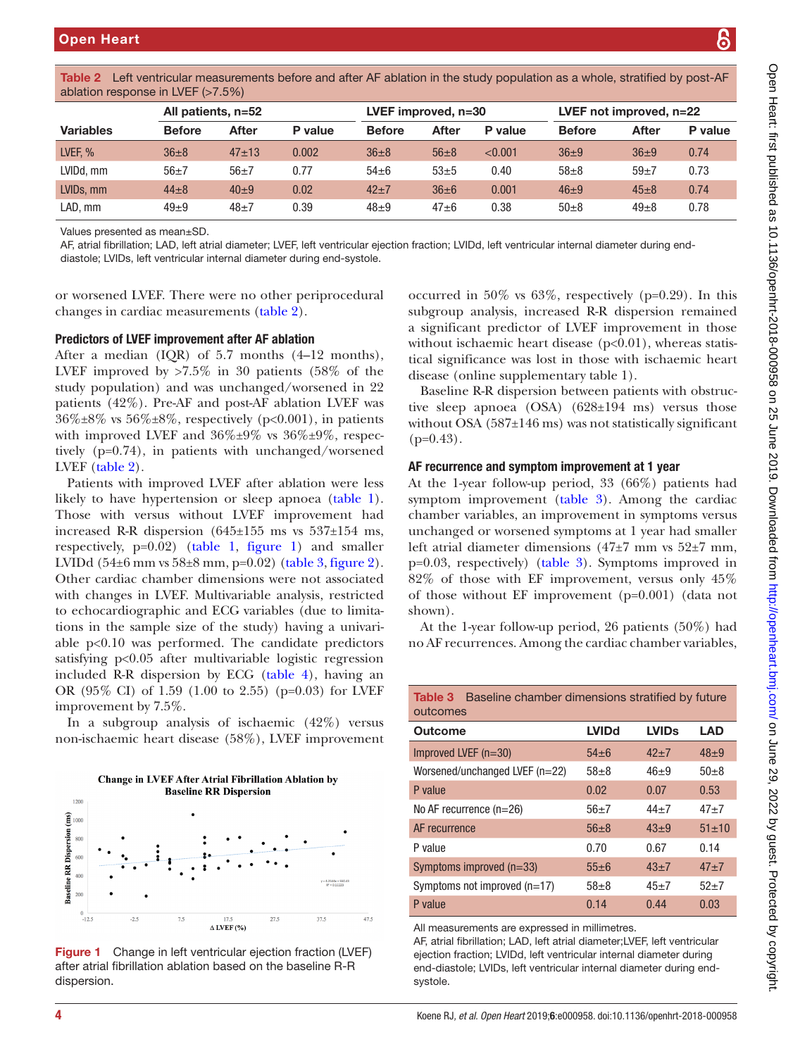ablation response in LVEF (>7.5%)

| <b>Variables</b>                                                                                                                                                                                                                                                                                                                                                                                                                      | <b>Before</b> | <b>After</b> | P value | <b>Before</b> | <b>After</b> | P value                                                                                                                                                         | <b>Before</b>                                                                                                                                                                                                                                                                                                                                                        | <b>After</b> | P value |
|---------------------------------------------------------------------------------------------------------------------------------------------------------------------------------------------------------------------------------------------------------------------------------------------------------------------------------------------------------------------------------------------------------------------------------------|---------------|--------------|---------|---------------|--------------|-----------------------------------------------------------------------------------------------------------------------------------------------------------------|----------------------------------------------------------------------------------------------------------------------------------------------------------------------------------------------------------------------------------------------------------------------------------------------------------------------------------------------------------------------|--------------|---------|
| LVEF, %                                                                                                                                                                                                                                                                                                                                                                                                                               | $36\pm8$      | $47 + 13$    | 0.002   | $36\pm8$      | $56\pm8$     | < 0.001                                                                                                                                                         | $36\pm9$                                                                                                                                                                                                                                                                                                                                                             | $36\pm9$     | 0.74    |
| LVIDd, mm                                                                                                                                                                                                                                                                                                                                                                                                                             | $56+7$        | $56\pm7$     | 0.77    | $54\pm6$      | $53\pm5$     | 0.40                                                                                                                                                            | $58\pm8$                                                                                                                                                                                                                                                                                                                                                             | $59+7$       | 0.73    |
| LVIDs, mm                                                                                                                                                                                                                                                                                                                                                                                                                             | $44 + 8$      | $40\pm9$     | 0.02    | $42+7$        | $36\pm 6$    | 0.001                                                                                                                                                           | $46\pm9$                                                                                                                                                                                                                                                                                                                                                             | $45 \pm 8$   | 0.74    |
| LAD, mm                                                                                                                                                                                                                                                                                                                                                                                                                               | $49\pm9$      | $48\pm7$     | 0.39    | $48\pm9$      | $47\pm 6$    | 0.38                                                                                                                                                            | $50\pm8$                                                                                                                                                                                                                                                                                                                                                             | $49\pm8$     | 0.78    |
| Values presented as mean±SD.<br>AF, atrial fibrillation; LAD, left atrial diameter; LVEF, left ventricular ejection fraction; LVIDd, left ventricular internal diameter during end-<br>diastole; LVIDs, left ventricular internal diameter during end-systole.<br>or worsened LVEF. There were no other periprocedural<br>changes in cardiac measurements (table 2).<br><b>Predictors of LVEF improvement after AF ablation</b>       |               |              |         |               |              |                                                                                                                                                                 | occurred in 50% vs 63%, respectively ( $p=0.29$ ). In th<br>subgroup analysis, increased R-R dispersion remaine<br>a significant predictor of LVEF improvement in thos                                                                                                                                                                                               |              |         |
| After a median $(IQR)$ of 5.7 months $(4-12$ months),<br>LVEF improved by $>7.5\%$ in 30 patients (58% of the<br>study population) and was unchanged/worsened in 22<br>patients (42%). Pre-AF and post-AF ablation LVEF was<br>$36\% \pm 8\%$ vs $56\% \pm 8\%$ , respectively (p<0.001), in patients<br>with improved LVEF and $36\% \pm 9\%$ vs $36\% \pm 9\%$ , respec-<br>tively $(p=0.74)$ , in patients with unchanged/worsened |               |              |         |               | $(p=0.43)$ . |                                                                                                                                                                 | without ischaemic heart disease $(p<0.01)$ , whereas stati<br>tical significance was lost in those with ischaemic hea<br>disease (online supplementary table 1).<br>Baseline R-R dispersion between patients with obstrue<br>tive sleep apnoea $(OSA)$ $(628\pm194 \text{ ms})$ versus thos<br>without OSA $(587\pm146 \text{ ms})$ was not statistically significar |              |         |
| LVEF $(table 2)$ .                                                                                                                                                                                                                                                                                                                                                                                                                    |               |              |         |               |              |                                                                                                                                                                 | AF recurrence and symptom improvement at 1 year                                                                                                                                                                                                                                                                                                                      |              |         |
| Patients with improved LVEF after ablation were less<br>likely to have hypertension or sleep apnoea (table 1).<br>Those with versus without LVEE improvement had                                                                                                                                                                                                                                                                      |               |              |         |               |              | At the 1-year follow-up period, 33 $(66%)$ patients ha<br>symptom improvement (table 3). Among the cardia<br>chamber variables an improvement in symptoms versu |                                                                                                                                                                                                                                                                                                                                                                      |              |         |

<span id="page-3-0"></span>Table 2 Left ventricular measurements before and after AF ablation in the study population as a whole, stratified by post-AF

All patients, n=52 LVEF improved, n=30 LVEF not improved, n=22

LVEF [\(table](#page-3-0) 2). Patients with improve likely to have hypertens Those with versus without LVEF improvement had increased R-R dispersion (645±155 ms vs 537±154 ms, respectively, p=0.02) [\(table](#page-2-0) 1, [figure](#page-3-1) 1) and smaller LVIDd  $(54±6$  mm vs  $58±8$  mm, p=0.02) [\(table](#page-3-2) 3, [figure](#page-4-0) 2). Other cardiac chamber dimensions were not associated with changes in LVEF. Multivariable analysis, restricted to echocardiographic and ECG variables (due to limitations in the sample size of the study) having a univariable  $p<0.10$  was performed. The candidate predictors satisfying p<0.05 after multivariable logistic regression included R-R dispersion by ECG [\(table](#page-4-1) 4), having an OR (95% CI) of 1.59 (1.00 to 2.55) (p=0.03) for LVEF improvement by 7.5%.

In a subgroup analysis of ischaemic (42%) versus non-ischaemic heart disease (58%), LVEF improvement



<span id="page-3-1"></span>Figure 1 Change in left ventricular ejection fraction (LVEF) after atrial fibrillation ablation based on the baseline R-R dispersion.

# $em$  improvement at 1 year

period, 33  $(66%)$  patients had  $(table 3)$  $(table 3)$  $(table 3)$ . Among the cardiac chamber variables, an improvement in symptoms versus unchanged or worsened symptoms at 1 year had smaller left atrial diameter dimensions  $(47±7$  mm vs  $52±7$  mm, p=0.03, respectively) ([table](#page-3-2) 3). Symptoms improved in 82% of those with EF improvement, versus only 45% of those without EF improvement (p=0.001) (data not shown).

At the 1-year follow-up period, 26 patients (50%) had no AF recurrences. Among the cardiac chamber variables,

<span id="page-3-2"></span>

|          | <b>Table 3</b> Baseline chamber dimensions stratified by future |  |  |
|----------|-----------------------------------------------------------------|--|--|
| outcomes |                                                                 |  |  |

| <b>LVIDd</b> | <b>LVID<sub>s</sub></b> | <b>LAD</b>  |
|--------------|-------------------------|-------------|
| $54 + 6$     | $42 + 7$                | $48 + 9$    |
| $58 + 8$     | $46 + 9$                | $50+8$      |
| 0.02         | 0.07                    | 0.53        |
| $56+7$       | $44 + 7$                | $47 + 7$    |
| $56 + 8$     | $43 + 9$                | $51 \pm 10$ |
| 0.70         | 0.67                    | 0.14        |
| $55 \pm 6$   | $43 + 7$                | $47 + 7$    |
| $58 + 8$     | $45 + 7$                | $52+7$      |
| 0.14         | 0.44                    | 0.03        |
|              |                         |             |

All measurements are expressed in millimetres.

AF, atrial fibrillation; LAD, left atrial diameter;LVEF, left ventricular ejection fraction; LVIDd, left ventricular internal diameter during end-diastole; LVIDs, left ventricular internal diameter during endsystole.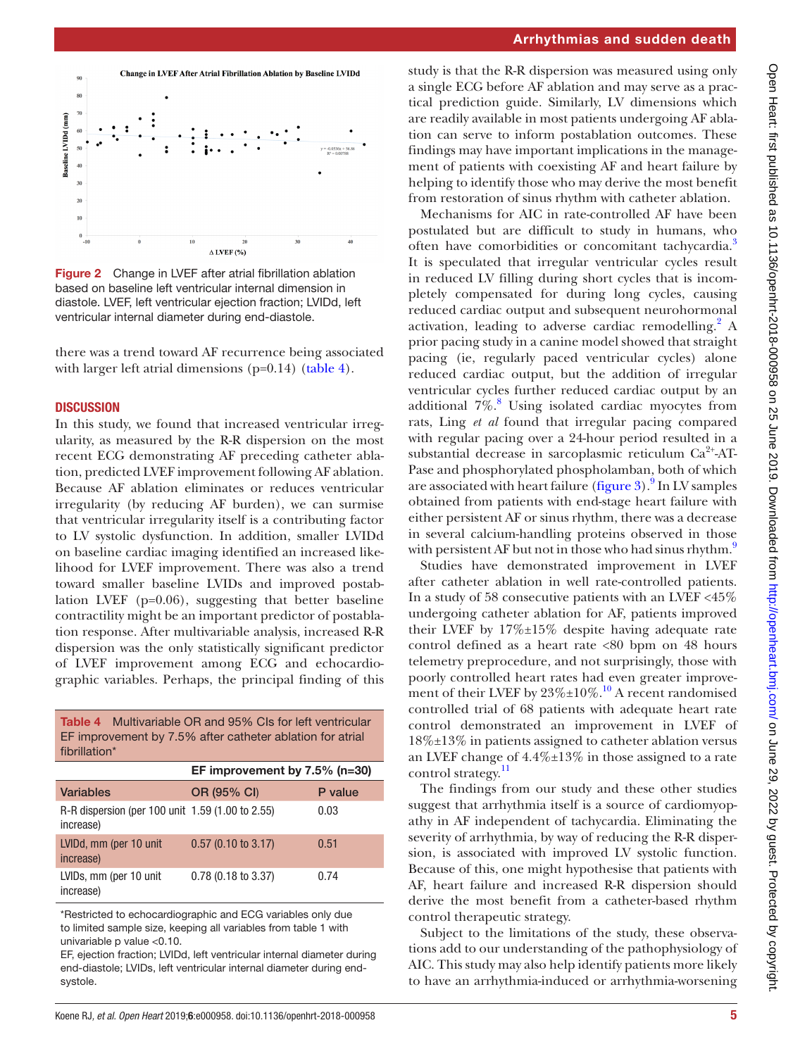

<span id="page-4-0"></span>Figure 2 Change in LVEF after atrial fibrillation ablation based on baseline left ventricular internal dimension in diastole. LVEF, left ventricular ejection fraction; LVIDd, left ventricular internal diameter during end-diastole.

there was a trend toward AF recurrence being associated with larger left atrial dimensions  $(p=0.14)$  [\(table](#page-4-1) 4).

### **DISCUSSION**

In this study, we found that increased ventricular irregularity, as measured by the R-R dispersion on the most recent ECG demonstrating AF preceding catheter ablation, predicted LVEF improvement following AF ablation. Because AF ablation eliminates or reduces ventricular irregularity (by reducing AF burden), we can surmise that ventricular irregularity itself is a contributing factor to LV systolic dysfunction. In addition, smaller LVIDd on baseline cardiac imaging identified an increased likelihood for LVEF improvement. There was also a trend toward smaller baseline LVIDs and improved postablation LVEF (p=0.06), suggesting that better baseline contractility might be an important predictor of postablation response. After multivariable analysis, increased R-R dispersion was the only statistically significant predictor of LVEF improvement among ECG and echocardiographic variables. Perhaps, the principal finding of this

<span id="page-4-1"></span>Table 4 Multivariable OR and 95% CIs for left ventricular EF improvement by 7.5% after catheter ablation for atrial fibrillation\*

|                                                               | EF improvement by $7.5\%$ (n=30) |         |  |
|---------------------------------------------------------------|----------------------------------|---------|--|
| <b>Variables</b>                                              | OR (95% CI)                      | P value |  |
| R-R dispersion (per 100 unit 1.59 (1.00 to 2.55)<br>increase) |                                  | 0.03    |  |
| LVIDd, mm (per 10 unit)<br>increase)                          | $0.57$ (0.10 to 3.17)            | 0.51    |  |
| LVIDs, mm (per 10 unit)<br>increase)                          | $0.78$ (0.18 to 3.37)            | 0.74    |  |

\*Restricted to echocardiographic and ECG variables only due to limited sample size, keeping all variables from [table 1](#page-2-0) with univariable p value <0.10.

EF, ejection fraction; LVIDd, left ventricular internal diameter during end-diastole; LVIDs, left ventricular internal diameter during endsystole.

study is that the R-R dispersion was measured using only a single ECG before AF ablation and may serve as a practical prediction guide. Similarly, LV dimensions which are readily available in most patients undergoing AF ablation can serve to inform postablation outcomes. These findings may have important implications in the management of patients with coexisting AF and heart failure by helping to identify those who may derive the most benefit from restoration of sinus rhythm with catheter ablation.

Mechanisms for AIC in rate-controlled AF have been postulated but are difficult to study in humans, who often have comorbidities or concomitant tachycardia.<sup>3</sup> It is speculated that irregular ventricular cycles result in reduced LV filling during short cycles that is incompletely compensated for during long cycles, causing reduced cardiac output and subsequent neurohormonal activation, leading to adverse cardiac remodelling.<sup>[2](#page-5-1)</sup> A prior pacing study in a canine model showed that straight pacing (ie, regularly paced ventricular cycles) alone reduced cardiac output, but the addition of irregular ventricular cycles further reduced cardiac output by an additional 7%.<sup>[8](#page-6-4)</sup> Using isolated cardiac myocytes from rats, Ling *et al* found that irregular pacing compared with regular pacing over a 24-hour period resulted in a substantial decrease in sarcoplasmic reticulum  $Ca^{2+}AT-$ Pase and phosphorylated phospholamban, both of which are associated with heart failure [\(figure](#page-5-2) 3).<sup>[9](#page-6-6)</sup> In LV samples obtained from patients with end-stage heart failure with either persistent AF or sinus rhythm, there was a decrease in several calcium-handling proteins observed in those with persistent AF but not in those who had sinus rhythm. $9$ 

Studies have demonstrated improvement in LVEF after catheter ablation in well rate-controlled patients. In a study of 58 consecutive patients with an LVEF <45% undergoing catheter ablation for AF, patients improved their LVEF by 17%±15% despite having adequate rate control defined as a heart rate <80 bpm on 48 hours telemetry preprocedure, and not surprisingly, those with poorly controlled heart rates had even greater improvement of their LVEF by  $23\% \pm 10\%$ .<sup>10</sup> A recent randomised controlled trial of 68 patients with adequate heart rate control demonstrated an improvement in LVEF of 18%±13% in patients assigned to catheter ablation versus an LVEF change of 4.4%±13% in those assigned to a rate control strategy.<sup>[11](#page-6-8)</sup>

The findings from our study and these other studies suggest that arrhythmia itself is a source of cardiomyopathy in AF independent of tachycardia. Eliminating the severity of arrhythmia, by way of reducing the R-R dispersion, is associated with improved LV systolic function. Because of this, one might hypothesise that patients with AF, heart failure and increased R-R dispersion should derive the most benefit from a catheter-based rhythm control therapeutic strategy.

Subject to the limitations of the study, these observations add to our understanding of the pathophysiology of AIC. This study may also help identify patients more likely to have an arrhythmia-induced or arrhythmia-worsening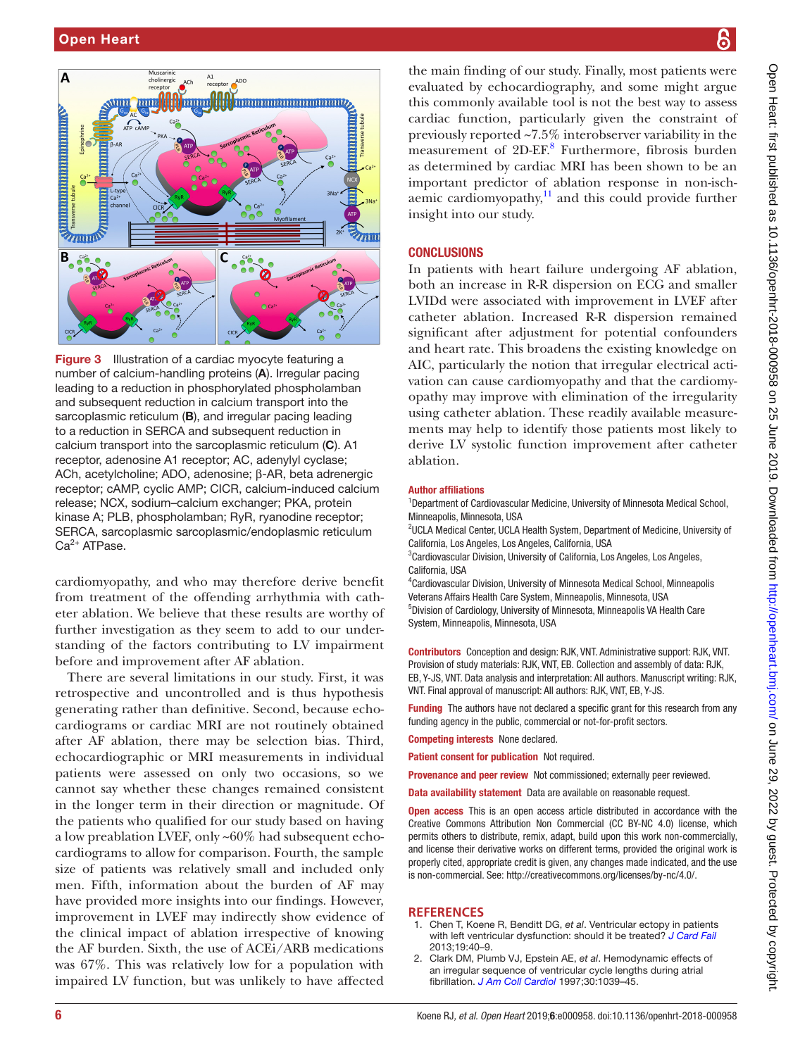

<span id="page-5-2"></span>Figure 3 Illustration of a cardiac myocyte featuring a number of calcium-handling proteins (A). Irregular pacing leading to a reduction in phosphorylated phospholamban and subsequent reduction in calcium transport into the sarcoplasmic reticulum (B), and irregular pacing leading to a reduction in SERCA and subsequent reduction in calcium transport into the sarcoplasmic reticulum (C). A1 receptor, adenosine A1 receptor; AC, adenylyl cyclase; ACh, acetylcholine; ADO, adenosine; β-AR, beta adrenergic receptor; cAMP, cyclic AMP; CICR, calcium-induced calcium release; NCX, sodium–calcium exchanger; PKA, protein kinase A; PLB, phospholamban; RyR, ryanodine receptor; SERCA, sarcoplasmic sarcoplasmic/endoplasmic reticulum  $Ca<sup>2+</sup>$  ATPase.

cardiomyopathy, and who may therefore derive benefit from treatment of the offending arrhythmia with catheter ablation. We believe that these results are worthy of further investigation as they seem to add to our understanding of the factors contributing to LV impairment before and improvement after AF ablation.

There are several limitations in our study. First, it was retrospective and uncontrolled and is thus hypothesis generating rather than definitive. Second, because echocardiograms or cardiac MRI are not routinely obtained after AF ablation, there may be selection bias. Third, echocardiographic or MRI measurements in individual patients were assessed on only two occasions, so we cannot say whether these changes remained consistent in the longer term in their direction or magnitude. Of the patients who qualified for our study based on having a low preablation LVEF, only ~60% had subsequent echocardiograms to allow for comparison. Fourth, the sample size of patients was relatively small and included only men. Fifth, information about the burden of AF may have provided more insights into our findings. However, improvement in LVEF may indirectly show evidence of the clinical impact of ablation irrespective of knowing the AF burden. Sixth, the use of ACEi/ARB medications was 67%. This was relatively low for a population with impaired LV function, but was unlikely to have affected

the main finding of our study. Finally, most patients were evaluated by echocardiography, and some might argue this commonly available tool is not the best way to assess cardiac function, particularly given the constraint of previously reported ~7.5% interobserver variability in the measurement of 2D-EF.<sup>8</sup> Furthermore, fibrosis burden as determined by cardiac MRI has been shown to be an important predictor of ablation response in non-ischaemic cardiomyopathy, $\frac{11}{11}$  and this could provide further insight into our study.

### **CONCLUSIONS**

In patients with heart failure undergoing AF ablation, both an increase in R-R dispersion on ECG and smaller LVIDd were associated with improvement in LVEF after catheter ablation. Increased R-R dispersion remained significant after adjustment for potential confounders and heart rate. This broadens the existing knowledge on AIC, particularly the notion that irregular electrical activation can cause cardiomyopathy and that the cardiomyopathy may improve with elimination of the irregularity using catheter ablation. These readily available measurements may help to identify those patients most likely to derive LV systolic function improvement after catheter ablation.

### Author affiliations

<sup>1</sup>Department of Cardiovascular Medicine, University of Minnesota Medical School, Minneapolis, Minnesota, USA

<sup>2</sup>UCLA Medical Center, UCLA Health System, Department of Medicine, University of California, Los Angeles, Los Angeles, California, USA

<sup>3</sup>Cardiovascular Division, University of California, Los Angeles, Los Angeles, California, USA

4 Cardiovascular Division, University of Minnesota Medical School, Minneapolis Veterans Affairs Health Care System, Minneapolis, Minnesota, USA 5 Division of Cardiology, University of Minnesota, Minneapolis VA Health Care System, Minneapolis, Minnesota, USA

Contributors Conception and design: RJK, VNT. Administrative support: RJK, VNT. Provision of study materials: RJK, VNT, EB. Collection and assembly of data: RJK, EB, Y-JS, VNT. Data analysis and interpretation: All authors. Manuscript writing: RJK, VNT. Final approval of manuscript: All authors: RJK, VNT, EB, Y-JS.

Funding The authors have not declared a specific grant for this research from any funding agency in the public, commercial or not-for-profit sectors.

Competing interests None declared.

Patient consent for publication Not required.

Provenance and peer review Not commissioned; externally peer reviewed.

Data availability statement Data are available on reasonable request.

**Open access** This is an open access article distributed in accordance with the Creative Commons Attribution Non Commercial (CC BY-NC 4.0) license, which permits others to distribute, remix, adapt, build upon this work non-commercially, and license their derivative works on different terms, provided the original work is properly cited, appropriate credit is given, any changes made indicated, and the use is non-commercial. See: [http://creativecommons.org/licenses/by-nc/4.0/.](http://creativecommons.org/licenses/by-nc/4.0/)

### **References**

- <span id="page-5-0"></span>1. Chen T, Koene R, Benditt DG, *et al*. Ventricular ectopy in patients with left ventricular dysfunction: should it be treated? *[J Card Fail](http://dx.doi.org/10.1016/j.cardfail.2012.11.004)* 2013;19:40–9.
- <span id="page-5-1"></span>2. Clark DM, Plumb VJ, Epstein AE, *et al*. Hemodynamic effects of an irregular sequence of ventricular cycle lengths during atrial fibrillation. *[J Am Coll Cardiol](http://dx.doi.org/10.1016/S0735-1097(97)00254-4)* 1997;30:1039–45.